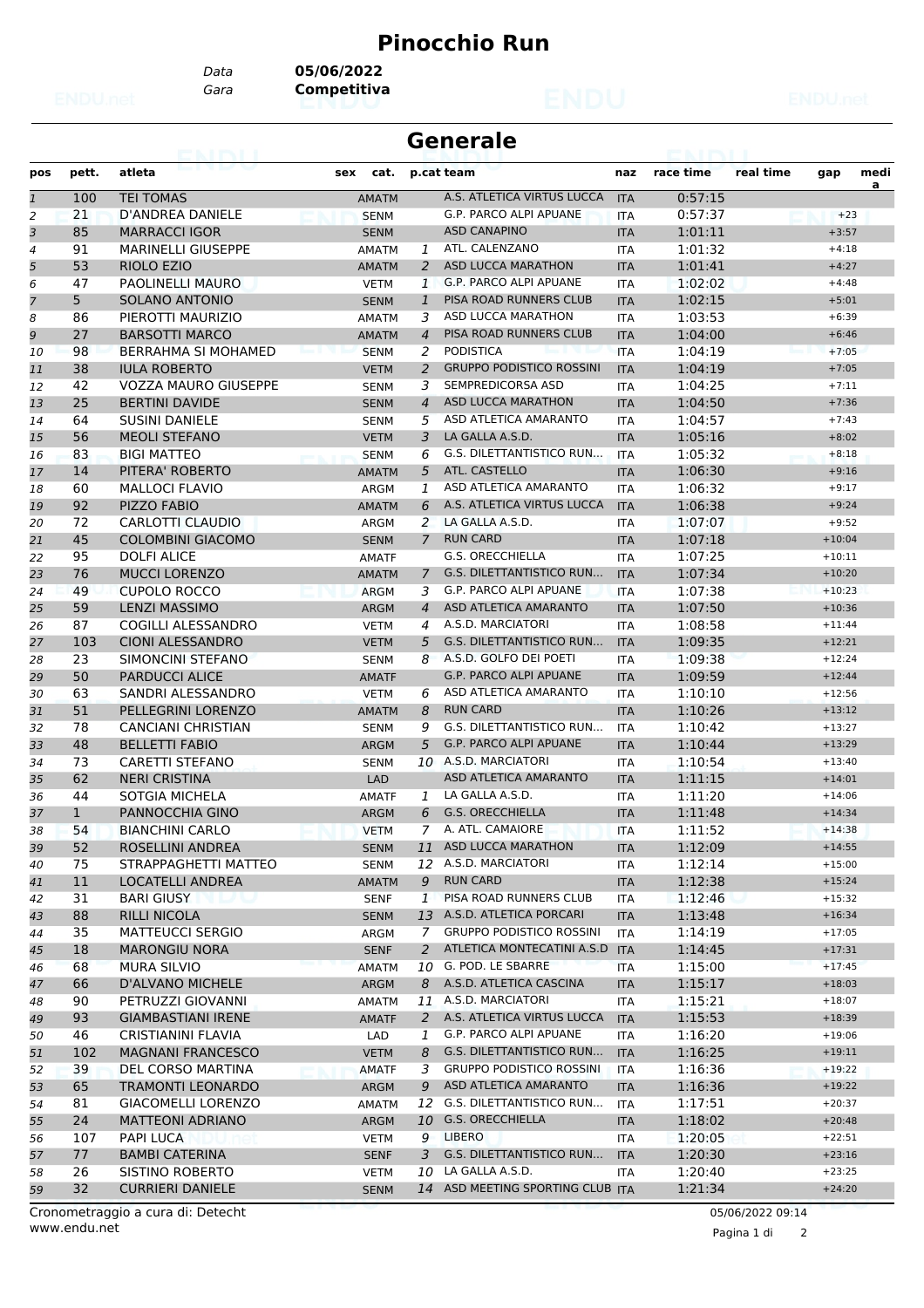## **Pinocchio Run**

*Data* **05/06/2022**

*Gara* **Competitiva**

| <b>Generale</b> |              |                             |              |                |                                  |            |           |           |          |           |
|-----------------|--------------|-----------------------------|--------------|----------------|----------------------------------|------------|-----------|-----------|----------|-----------|
| pos             | pett.        | atleta                      | cat.<br>sex  |                | p.cat team                       | naz        | race time | real time | gap      | medi<br>a |
| $\mathbf{1}$    | 100          | <b>TEI TOMAS</b>            | <b>AMATM</b> |                | A.S. ATLETICA VIRTUS LUCCA       | <b>ITA</b> | 0:57:15   |           |          |           |
| 2               | 21           | D'ANDREA DANIELE            | <b>SENM</b>  |                | G.P. PARCO ALPI APUANE           | <b>ITA</b> | 0:57:37   |           | $+23$    |           |
| 3               | 85           | <b>MARRACCI IGOR</b>        | <b>SENM</b>  |                | <b>ASD CANAPINO</b>              | <b>ITA</b> | 1:01:11   |           | $+3:57$  |           |
| 4               | 91           | <b>MARINELLI GIUSEPPE</b>   | <b>AMATM</b> | 1              | ATL. CALENZANO                   | <b>ITA</b> | 1:01:32   |           | $+4:18$  |           |
| 5               | 53           | RIOLO EZIO                  | <b>AMATM</b> | 2              | ASD LUCCA MARATHON               | <b>ITA</b> | 1:01:41   |           | $+4:27$  |           |
| 6               | 47           | PAOLINELLI MAURO            | VETM         | 1              | G.P. PARCO ALPI APUANE           | <b>ITA</b> | 1:02:02   |           | $+4:48$  |           |
| $\overline{7}$  | 5            | SOLANO ANTONIO              | <b>SENM</b>  | $\mathbf{1}$   | PISA ROAD RUNNERS CLUB           | <b>ITA</b> | 1:02:15   |           | $+5:01$  |           |
| 8               | 86           | PIEROTTI MAURIZIO           | <b>AMATM</b> | 3              | ASD LUCCA MARATHON               | <b>ITA</b> | 1:03:53   |           | $+6:39$  |           |
| 9               | 27           | <b>BARSOTTI MARCO</b>       | <b>AMATM</b> | $\overline{4}$ | PISA ROAD RUNNERS CLUB           | <b>ITA</b> | 1:04:00   |           | $+6:46$  |           |
| 10              | 98           | <b>BERRAHMA SI MOHAMED</b>  | <b>SENM</b>  | 2              | <b>PODISTICA</b>                 | <b>ITA</b> | 1:04:19   |           | $+7:05$  |           |
| 11              | 38           | <b>IULA ROBERTO</b>         | <b>VETM</b>  | 2              | <b>GRUPPO PODISTICO ROSSINI</b>  | <b>ITA</b> | 1:04:19   |           | $+7:05$  |           |
| 12              | 42           | <b>VOZZA MAURO GIUSEPPE</b> | <b>SENM</b>  | 3              | SEMPREDICORSA ASD                | <b>ITA</b> | 1:04:25   |           | $+7:11$  |           |
| 13              | 25           | <b>BERTINI DAVIDE</b>       | <b>SENM</b>  | $\overline{4}$ | <b>ASD LUCCA MARATHON</b>        | <b>ITA</b> | 1:04:50   |           | $+7:36$  |           |
| 14              | 64           | <b>SUSINI DANIELE</b>       | <b>SENM</b>  | 5              | ASD ATLETICA AMARANTO            | <b>ITA</b> | 1:04:57   |           | $+7:43$  |           |
| 15              | 56           | <b>MEOLI STEFANO</b>        | <b>VETM</b>  | 3              | LA GALLA A.S.D.                  | <b>ITA</b> | 1:05:16   |           | $+8:02$  |           |
| 16              | 83           | <b>BIGI MATTEO</b>          | <b>SENM</b>  | 6              | G.S. DILETTANTISTICO RUN         | <b>ITA</b> | 1:05:32   |           | $+8:18$  |           |
| 17              | 14           | PITERA' ROBERTO             | <b>AMATM</b> | 5              | ATL. CASTELLO                    | <b>ITA</b> | 1:06:30   |           | $+9:16$  |           |
| 18              | 60           | <b>MALLOCI FLAVIO</b>       | ARGM         | 1              | ASD ATLETICA AMARANTO            | <b>ITA</b> | 1:06:32   |           | $+9:17$  |           |
| 19              | 92           | PIZZO FABIO                 | <b>AMATM</b> | 6              | A.S. ATLETICA VIRTUS LUCCA       | <b>ITA</b> | 1:06:38   |           | $+9:24$  |           |
| 20              | 72           | CARLOTTI CLAUDIO            | ARGM         | 2              | LA GALLA A.S.D.                  | <b>ITA</b> | 1:07:07   |           | $+9:52$  |           |
| 21              | 45           | <b>COLOMBINI GIACOMO</b>    | <b>SENM</b>  | 7              | <b>RUN CARD</b>                  | <b>ITA</b> | 1:07:18   |           | $+10:04$ |           |
| 22              | 95           | <b>DOLFI ALICE</b>          | <b>AMATF</b> |                | <b>G.S. ORECCHIELLA</b>          | <b>ITA</b> | 1:07:25   |           | $+10:11$ |           |
| 23              | 76           | <b>MUCCI LORENZO</b>        | <b>AMATM</b> | 7              | G.S. DILETTANTISTICO RUN         | <b>ITA</b> | 1:07:34   |           | $+10:20$ |           |
| 24              | 49           | <b>CUPOLO ROCCO</b>         | <b>ARGM</b>  | 3              | G.P. PARCO ALPI APUANE           | <b>ITA</b> | 1:07:38   |           | $+10:23$ |           |
| 25              | 59           | <b>LENZI MASSIMO</b>        | <b>ARGM</b>  | $\overline{4}$ | ASD ATLETICA AMARANTO            | <b>ITA</b> | 1:07:50   |           | $+10:36$ |           |
| 26              | 87           | COGILLI ALESSANDRO          | <b>VETM</b>  | 4              | A.S.D. MARCIATORI                | <b>ITA</b> | 1:08:58   |           | $+11:44$ |           |
| 27              | 103          | <b>CIONI ALESSANDRO</b>     | <b>VETM</b>  | 5              | <b>G.S. DILETTANTISTICO RUN</b>  | <b>ITA</b> | 1:09:35   |           | $+12:21$ |           |
| 28              | 23           | SIMONCINI STEFANO           | <b>SENM</b>  | 8              | A.S.D. GOLFO DEI POETI           | <b>ITA</b> | 1:09:38   |           | $+12:24$ |           |
| 29              | 50           | <b>PARDUCCI ALICE</b>       | <b>AMATF</b> |                | <b>G.P. PARCO ALPI APUANE</b>    | <b>ITA</b> | 1:09:59   |           | $+12:44$ |           |
| 30              | 63           | SANDRI ALESSANDRO           | <b>VETM</b>  | 6              | ASD ATLETICA AMARANTO            | <b>ITA</b> | 1:10:10   |           | $+12:56$ |           |
| 31              | 51           | PELLEGRINI LORENZO          | <b>AMATM</b> | 8              | <b>RUN CARD</b>                  | <b>ITA</b> | 1:10:26   |           | $+13:12$ |           |
| 32              | 78           | <b>CANCIANI CHRISTIAN</b>   | <b>SENM</b>  | 9              | G.S. DILETTANTISTICO RUN         | <b>ITA</b> | 1:10:42   |           | $+13:27$ |           |
| 33              | 48           | <b>BELLETTI FABIO</b>       | ARGM         | 5              | <b>G.P. PARCO ALPI APUANE</b>    | <b>ITA</b> | 1:10:44   |           | $+13:29$ |           |
| 34              | 73           | <b>CARETTI STEFANO</b>      | <b>SENM</b>  | 10             | A.S.D. MARCIATORI                | <b>ITA</b> | 1:10:54   |           | $+13:40$ |           |
| 35              | 62           | <b>NERI CRISTINA</b>        | <b>LAD</b>   |                | ASD ATLETICA AMARANTO            | <b>ITA</b> | 1:11:15   |           | $+14:01$ |           |
| 36              | 44           | SOTGIA MICHELA              | <b>AMATF</b> | $\mathcal{I}$  | LA GALLA A.S.D.                  | <b>ITA</b> | 1:11:20   |           | $+14:06$ |           |
| 37              | $\mathbf{1}$ | PANNOCCHIA GINO             | <b>ARGM</b>  | 6              | <b>G.S. ORECCHIELLA</b>          | <b>ITA</b> | 1:11:48   |           | $+14:34$ |           |
| 38              | 54           | <b>BIANCHINI CARLO</b>      | <b>VETM</b>  |                | 7 A. ATL. CAMAIORE               | <b>ITA</b> | 1:11:52   |           | $+14:38$ |           |
| 39              | 52           | ROSELLINI ANDREA            | <b>SENM</b>  |                | 11 ASD LUCCA MARATHON            | <b>ITA</b> | 1:12:09   |           | $+14:55$ |           |
| 40              | 75           | STRAPPAGHETTI MATTEO        | <b>SENM</b>  |                | 12 A.S.D. MARCIATORI             | ITA        | 1:12:14   |           | $+15:00$ |           |
| 41              | 11           | LOCATELLI ANDREA            | <b>AMATM</b> | 9              | <b>RUN CARD</b>                  | <b>ITA</b> | 1:12:38   |           | $+15:24$ |           |
| 42              | 31           | <b>BARI GIUSY</b>           | <b>SENF</b>  | $\mathbf{1}$   | PISA ROAD RUNNERS CLUB           | ITA        | 1:12:46   |           | $+15:32$ |           |
| 43              | 88           | <b>RILLI NICOLA</b>         | <b>SENM</b>  |                | 13 A.S.D. ATLETICA PORCARI       | <b>ITA</b> | 1:13:48   |           | $+16:34$ |           |
| 44              | 35           | <b>MATTEUCCI SERGIO</b>     | ARGM         | 7              | <b>GRUPPO PODISTICO ROSSINI</b>  | ITA        | 1:14:19   |           | $+17:05$ |           |
| 45              | 18           | <b>MARONGIU NORA</b>        | <b>SENF</b>  | 2              | ATLETICA MONTECATINI A.S.D       | <b>ITA</b> | 1:14:45   |           | $+17:31$ |           |
| 46              | 68           | MURA SILVIO                 | <b>AMATM</b> |                | 10 G. POD. LE SBARRE             | <b>ITA</b> | 1:15:00   |           | $+17:45$ |           |
| 47              | 66           | D'ALVANO MICHELE            | ARGM         | 8              | A.S.D. ATLETICA CASCINA          | <b>ITA</b> | 1:15:17   |           | $+18:03$ |           |
| 48              | 90           | PETRUZZI GIOVANNI           | <b>AMATM</b> | 11             | A.S.D. MARCIATORI                | ITA        | 1:15:21   |           | $+18:07$ |           |
| 49              | 93           | GIAMBASTIANI IRENE          | <b>AMATF</b> |                | 2 A.S. ATLETICA VIRTUS LUCCA     | <b>ITA</b> | 1:15:53   |           | $+18:39$ |           |
| 50              | 46           | CRISTIANINI FLAVIA          | LAD          | 1              | G.P. PARCO ALPI APUANE           | ITA        | 1:16:20   |           | $+19:06$ |           |
| 51              | 102          | <b>MAGNANI FRANCESCO</b>    | <b>VETM</b>  | 8              | G.S. DILETTANTISTICO RUN         | <b>ITA</b> | 1:16:25   |           | $+19:11$ |           |
| 52              | 39           | DEL CORSO MARTINA           | AMATF        | 3              | <b>GRUPPO PODISTICO ROSSINI</b>  | <b>ITA</b> | 1:16:36   |           | $+19:22$ |           |
| 53              | 65           | TRAMONTI LEONARDO           | ARGM         | 9              | ASD ATLETICA AMARANTO            | <b>ITA</b> | 1:16:36   |           | $+19:22$ |           |
| 54              | 81           | <b>GIACOMELLI LORENZO</b>   | AMATM        | 12             | G.S. DILETTANTISTICO RUN         | ITA        | 1:17:51   |           | $+20:37$ |           |
| 55              | 24           | MATTEONI ADRIANO            | ARGM         |                | 10 G.S. ORECCHIELLA              | <b>ITA</b> | 1:18:02   |           | $+20:48$ |           |
| 56              | 107          | PAPI LUCA                   | <b>VETM</b>  | 9              | LIBERO                           | ITA        | 1:20:05   |           | $+22:51$ |           |
| 57              | 77           | <b>BAMBI CATERINA</b>       | <b>SENF</b>  | 3              | G.S. DILETTANTISTICO RUN         | <b>ITA</b> | 1:20:30   |           | $+23:16$ |           |
| 58              | 26           | SISTINO ROBERTO             | <b>VETM</b>  | 10             | LA GALLA A.S.D.                  | <b>ITA</b> | 1:20:40   |           | $+23:25$ |           |
| 59              | 32           | <b>CURRIERI DANIELE</b>     | <b>SENM</b>  |                | 14 ASD MEETING SPORTING CLUB ITA |            | 1:21:34   |           | $+24:20$ |           |

www.endu.net Cronometraggio a cura di: Detecht 05/06/2022 09:14

Pagina 1 di 2